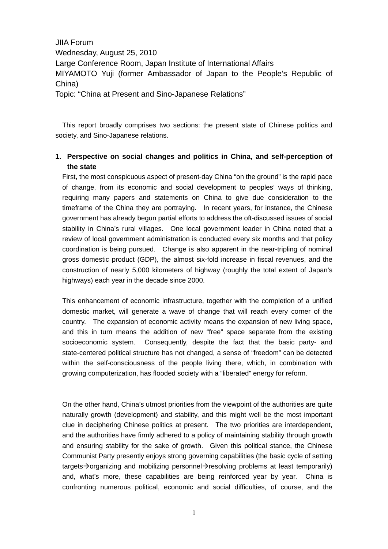JIIA Forum Wednesday, August 25, 2010 Large Conference Room, Japan Institute of International Affairs MIYAMOTO Yuji (former Ambassador of Japan to the People's Republic of China) Topic: "China at Present and Sino-Japanese Relations"

This report broadly comprises two sections: the present state of Chinese politics and society, and Sino-Japanese relations.

## **1. Perspective on social changes and politics in China, and self-perception of the state**

First, the most conspicuous aspect of present-day China "on the ground" is the rapid pace of change, from its economic and social development to peoples' ways of thinking, requiring many papers and statements on China to give due consideration to the timeframe of the China they are portraying. In recent years, for instance, the Chinese government has already begun partial efforts to address the oft-discussed issues of social stability in China's rural villages. One local government leader in China noted that a review of local government administration is conducted every six months and that policy coordination is being pursued. Change is also apparent in the near-tripling of nominal gross domestic product (GDP), the almost six-fold increase in fiscal revenues, and the construction of nearly 5,000 kilometers of highway (roughly the total extent of Japan's highways) each year in the decade since 2000.

This enhancement of economic infrastructure, together with the completion of a unified domestic market, will generate a wave of change that will reach every corner of the country. The expansion of economic activity means the expansion of new living space, and this in turn means the addition of new "free" space separate from the existing socioeconomic system. Consequently, despite the fact that the basic party- and state-centered political structure has not changed, a sense of "freedom" can be detected within the self-consciousness of the people living there, which, in combination with growing computerization, has flooded society with a "liberated" energy for reform.

On the other hand, China's utmost priorities from the viewpoint of the authorities are quite naturally growth (development) and stability, and this might well be the most important clue in deciphering Chinese politics at present. The two priorities are interdependent, and the authorities have firmly adhered to a policy of maintaining stability through growth and ensuring stability for the sake of growth. Given this political stance, the Chinese Communist Party presently enjoys strong governing capabilities (the basic cycle of setting targets $\rightarrow$ organizing and mobilizing personnel $\rightarrow$ resolving problems at least temporarily) and, what's more, these capabilities are being reinforced year by year. China is confronting numerous political, economic and social difficulties, of course, and the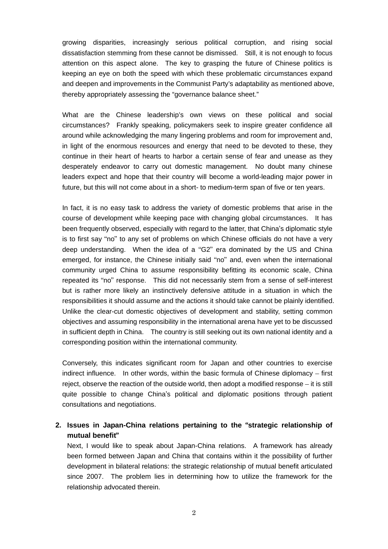growing disparities, increasingly serious political corruption, and rising social dissatisfaction stemming from these cannot be dismissed. Still, it is not enough to focus attention on this aspect alone. The key to grasping the future of Chinese politics is keeping an eye on both the speed with which these problematic circumstances expand and deepen and improvements in the Communist Party's adaptability as mentioned above, thereby appropriately assessing the "governance balance sheet."

What are the Chinese leadership's own views on these political and social circumstances? Frankly speaking, policymakers seek to inspire greater confidence all around while acknowledging the many lingering problems and room for improvement and, in light of the enormous resources and energy that need to be devoted to these, they continue in their heart of hearts to harbor a certain sense of fear and unease as they desperately endeavor to carry out domestic management. No doubt many chinese leaders expect and hope that their country will become a world-leading major power in future, but this will not come about in a short- to medium-term span of five or ten years.

In fact, it is no easy task to address the variety of domestic problems that arise in the course of development while keeping pace with changing global circumstances. It has been frequently observed, especially with regard to the latter, that China's diplomatic style is to first say "no" to any set of problems on which Chinese officials do not have a very deep understanding. When the idea of a "G2" era dominated by the US and China emerged, for instance, the Chinese initially said "no" and, even when the international community urged China to assume responsibility befitting its economic scale, China repeated its "no" response. This did not necessarily stem from a sense of self-interest but is rather more likely an instinctively defensive attitude in a situation in which the responsibilities it should assume and the actions it should take cannot be plainly identified. Unlike the clear-cut domestic objectives of development and stability, setting common objectives and assuming responsibility in the international arena have yet to be discussed in sufficient depth in China. The country is still seeking out its own national identity and a corresponding position within the international community.

Conversely, this indicates significant room for Japan and other countries to exercise indirect influence. In other words, within the basic formula of Chinese diplomacy – first reject, observe the reaction of the outside world, then adopt a modified response – it is still quite possible to change China's political and diplomatic positions through patient consultations and negotiations.

## **2. Issues in Japan-China relations pertaining to the** "**strategic relationship of mutual benefit**"

Next, I would like to speak about Japan-China relations. A framework has already been formed between Japan and China that contains within it the possibility of further development in bilateral relations: the strategic relationship of mutual benefit articulated since 2007. The problem lies in determining how to utilize the framework for the relationship advocated therein.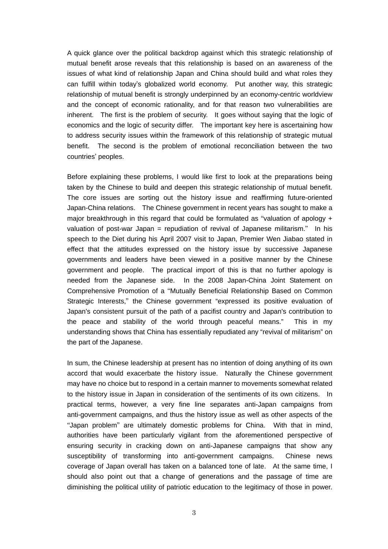A quick glance over the political backdrop against which this strategic relationship of mutual benefit arose reveals that this relationship is based on an awareness of the issues of what kind of relationship Japan and China should build and what roles they can fulfill within today's globalized world economy. Put another way, this strategic relationship of mutual benefit is strongly underpinned by an economy-centric worldview and the concept of economic rationality, and for that reason two vulnerabilities are inherent. The first is the problem of security. It goes without saying that the logic of economics and the logic of security differ. The important key here is ascertaining how to address security issues within the framework of this relationship of strategic mutual benefit. The second is the problem of emotional reconciliation between the two countries' peoples.

Before explaining these problems, I would like first to look at the preparations being taken by the Chinese to build and deepen this strategic relationship of mutual benefit. The core issues are sorting out the history issue and reaffirming future-oriented Japan-China relations. The Chinese government in recent years has sought to make a major breakthrough in this regard that could be formulated as "valuation of apology + valuation of post-war Japan = repudiation of revival of Japanese militarism." In his speech to the Diet during his April 2007 visit to Japan, Premier Wen Jiabao stated in effect that the attitudes expressed on the history issue by successive Japanese governments and leaders have been viewed in a positive manner by the Chinese government and people. The practical import of this is that no further apology is needed from the Japanese side. In the 2008 Japan-China Joint Statement on Comprehensive Promotion of a "Mutually Beneficial Relationship Based on Common Strategic Interests," the Chinese government "expressed its positive evaluation of Japan's consistent pursuit of the path of a pacifist country and Japan's contribution to the peace and stability of the world through peaceful means." This in my understanding shows that China has essentially repudiated any "revival of militarism" on the part of the Japanese.

In sum, the Chinese leadership at present has no intention of doing anything of its own accord that would exacerbate the history issue. Naturally the Chinese government may have no choice but to respond in a certain manner to movements somewhat related to the history issue in Japan in consideration of the sentiments of its own citizens. In practical terms, however, a very fine line separates anti-Japan campaigns from anti-government campaigns, and thus the history issue as well as other aspects of the "Japan problem" are ultimately domestic problems for China. With that in mind, authorities have been particularly vigilant from the aforementioned perspective of ensuring security in cracking down on anti-Japanese campaigns that show any susceptibility of transforming into anti-government campaigns. Chinese news coverage of Japan overall has taken on a balanced tone of late. At the same time, I should also point out that a change of generations and the passage of time are diminishing the political utility of patriotic education to the legitimacy of those in power.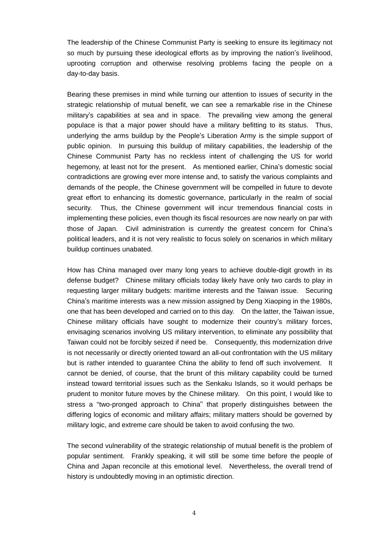The leadership of the Chinese Communist Party is seeking to ensure its legitimacy not so much by pursuing these ideological efforts as by improving the nation's livelihood, uprooting corruption and otherwise resolving problems facing the people on a day-to-day basis.

Bearing these premises in mind while turning our attention to issues of security in the strategic relationship of mutual benefit, we can see a remarkable rise in the Chinese military's capabilities at sea and in space. The prevailing view among the general populace is that a major power should have a military befitting to its status. Thus, underlying the arms buildup by the People's Liberation Army is the simple support of public opinion. In pursuing this buildup of military capabilities, the leadership of the Chinese Communist Party has no reckless intent of challenging the US for world hegemony, at least not for the present. As mentioned earlier, China's domestic social contradictions are growing ever more intense and, to satisfy the various complaints and demands of the people, the Chinese government will be compelled in future to devote great effort to enhancing its domestic governance, particularly in the realm of social security. Thus, the Chinese government will incur tremendous financial costs in implementing these policies, even though its fiscal resources are now nearly on par with those of Japan. Civil administration is currently the greatest concern for China's political leaders, and it is not very realistic to focus solely on scenarios in which military buildup continues unabated.

How has China managed over many long years to achieve double-digit growth in its defense budget? Chinese military officials today likely have only two cards to play in requesting larger military budgets: maritime interests and the Taiwan issue. Securing China's maritime interests was a new mission assigned by Deng Xiaoping in the 1980s, one that has been developed and carried on to this day. On the latter, the Taiwan issue, Chinese military officials have sought to modernize their country's military forces, envisaging scenarios involving US military intervention, to eliminate any possibility that Taiwan could not be forcibly seized if need be. Consequently, this modernization drive is not necessarily or directly oriented toward an all-out confrontation with the US military but is rather intended to guarantee China the ability to fend off such involvement. It cannot be denied, of course, that the brunt of this military capability could be turned instead toward territorial issues such as the Senkaku Islands, so it would perhaps be prudent to monitor future moves by the Chinese military. On this point, I would like to stress a "two-pronged approach to China" that properly distinguishes between the differing logics of economic and military affairs; military matters should be governed by military logic, and extreme care should be taken to avoid confusing the two.

The second vulnerability of the strategic relationship of mutual benefit is the problem of popular sentiment. Frankly speaking, it will still be some time before the people of China and Japan reconcile at this emotional level. Nevertheless, the overall trend of history is undoubtedly moving in an optimistic direction.